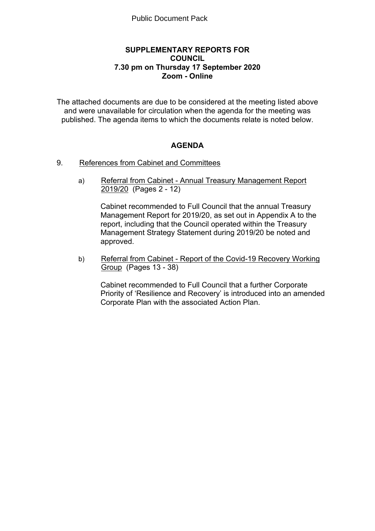# **SUPPLEMENTARY REPORTS FOR COUNCIL 7.30 pm on Thursday 17 September 2020 Zoom - Online**

The attached documents are due to be considered at the meeting listed above and were unavailable for circulation when the agenda for the meeting was published. The agenda items to which the documents relate is noted below.

# **AGENDA**

- 9. References from Cabinet and Committees
	- a) Referral from Cabinet Annual Treasury Management Report 2019/20 (Pages 2 - 12)

Cabinet recommended to Full Council that the annual Treasury Management Report for 2019/20, as set out in Appendix A to the report, including that the Council operated within the Treasury Management Strategy Statement during 2019/20 be noted and approved.

b) Referral from Cabinet - Report of the Covid-19 Recovery Working Group (Pages 13 - 38)

Cabinet recommended to Full Council that a further Corporate Priority of 'Resilience and Recovery' is introduced into an amended Corporate Plan with the associated Action Plan.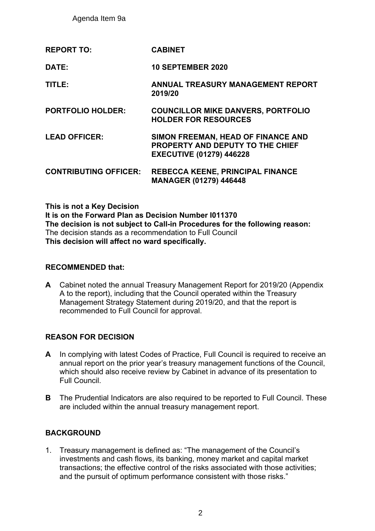Agenda Item 9a

**REPORT TO: CABINET**

**DATE: 10 SEPTEMBER 2020**

- **TITLE: ANNUAL TREASURY MANAGEMENT REPORT 2019/20**
- **PORTFOLIO HOLDER: COUNCILLOR MIKE DANVERS, PORTFOLIO HOLDER FOR RESOURCES**
- **LEAD OFFICER: SIMON FREEMAN, HEAD OF FINANCE AND PROPERTY AND DEPUTY TO THE CHIEF EXECUTIVE (01279) 446228**
- **CONTRIBUTING OFFICER: REBECCA KEENE, PRINCIPAL FINANCE MANAGER (01279) 446448**

**This is not a Key Decision It is on the Forward Plan as Decision Number I011370 The decision is not subject to Call-in Procedures for the following reason:** The decision stands as a recommendation to Full Council **This decision will affect no ward specifically.**

# **RECOMMENDED that:**

**A** Cabinet noted the annual Treasury Management Report for 2019/20 (Appendix A to the report), including that the Council operated within the Treasury Management Strategy Statement during 2019/20, and that the report is recommended to Full Council for approval.

# **REASON FOR DECISION**

- **A** In complying with latest Codes of Practice, Full Council is required to receive an annual report on the prior year's treasury management functions of the Council, which should also receive review by Cabinet in advance of its presentation to Full Council.
- **B** The Prudential Indicators are also required to be reported to Full Council. These are included within the annual treasury management report.

# **BACKGROUND**

1. Treasury management is defined as: "The management of the Council's investments and cash flows, its banking, money market and capital market transactions; the effective control of the risks associated with those activities; and the pursuit of optimum performance consistent with those risks."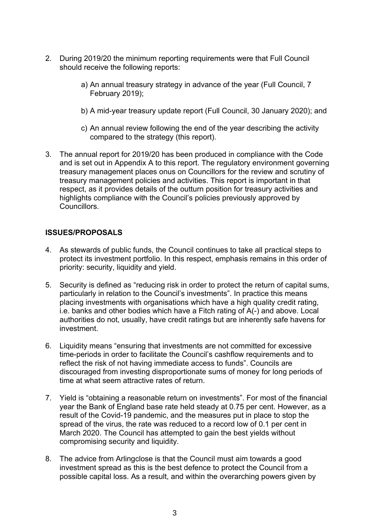- 2. During 2019/20 the minimum reporting requirements were that Full Council should receive the following reports:
	- a) An annual treasury strategy in advance of the year (Full Council, 7 February 2019);
	- b) A mid-year treasury update report (Full Council, 30 January 2020); and
	- c) An annual review following the end of the year describing the activity compared to the strategy (this report).
- 3. The annual report for 2019/20 has been produced in compliance with the Code and is set out in Appendix A to this report. The regulatory environment governing treasury management places onus on Councillors for the review and scrutiny of treasury management policies and activities. This report is important in that respect, as it provides details of the outturn position for treasury activities and highlights compliance with the Council's policies previously approved by Councillors.

# **ISSUES/PROPOSALS**

- 4. As stewards of public funds, the Council continues to take all practical steps to protect its investment portfolio. In this respect, emphasis remains in this order of priority: security, liquidity and yield.
- 5. Security is defined as "reducing risk in order to protect the return of capital sums, particularly in relation to the Council's investments". In practice this means placing investments with organisations which have a high quality credit rating, i.e. banks and other bodies which have a Fitch rating of A(-) and above. Local authorities do not, usually, have credit ratings but are inherently safe havens for investment.
- 6. Liquidity means "ensuring that investments are not committed for excessive time-periods in order to facilitate the Council's cashflow requirements and to reflect the risk of not having immediate access to funds". Councils are discouraged from investing disproportionate sums of money for long periods of time at what seem attractive rates of return.
- 7. Yield is "obtaining a reasonable return on investments". For most of the financial year the Bank of England base rate held steady at 0.75 per cent. However, as a result of the Covid-19 pandemic, and the measures put in place to stop the spread of the virus, the rate was reduced to a record low of 0.1 per cent in March 2020. The Council has attempted to gain the best yields without compromising security and liquidity.
- 8. The advice from Arlingclose is that the Council must aim towards a good investment spread as this is the best defence to protect the Council from a possible capital loss. As a result, and within the overarching powers given by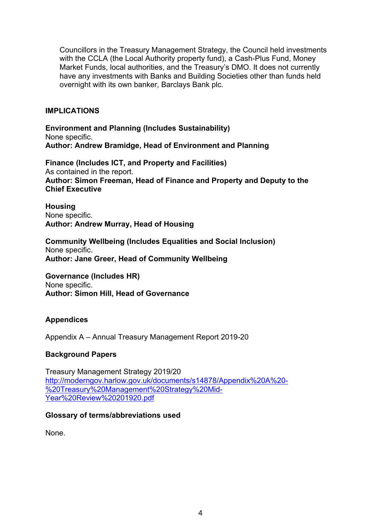Councillors in the Treasury Management Strategy, the Council held investments with the CCLA (the Local Authority property fund), a Cash-Plus Fund, Money Market Funds, local authorities, and the Treasury's DMO. It does not currently have any investments with Banks and Building Societies other than funds held overnight with its own banker, Barclays Bank plc.

# **IMPLICATIONS**

**Environment and Planning (Includes Sustainability)** None specific. **Author: Andrew Bramidge, Head of Environment and Planning**

**Finance (Includes ICT, and Property and Facilities)** As contained in the report. **Author: Simon Freeman, Head of Finance and Property and Deputy to the Chief Executive**

**Housing** None specific. **Author: Andrew Murray, Head of Housing**

**Community Wellbeing (Includes Equalities and Social Inclusion)** None specific. **Author: Jane Greer, Head of Community Wellbeing**

**Governance (Includes HR)** None specific. **Author: Simon Hill, Head of Governance**

# **Appendices**

Appendix A – Annual Treasury Management Report 2019-20

# **Background Papers**

Treasury Management Strategy 2019/20 [http://moderngov.harlow.gov.uk/documents/s14878/Appendix%20A%20-](http://moderngov.harlow.gov.uk/documents/s14878/Appendix%20A%20-%20Treasury%20Management%20Strategy%20Mid-Year%20Review%20201920.pdf) [%20Treasury%20Management%20Strategy%20Mid-](http://moderngov.harlow.gov.uk/documents/s14878/Appendix%20A%20-%20Treasury%20Management%20Strategy%20Mid-Year%20Review%20201920.pdf)[Year%20Review%20201920.pdf](http://moderngov.harlow.gov.uk/documents/s14878/Appendix%20A%20-%20Treasury%20Management%20Strategy%20Mid-Year%20Review%20201920.pdf)

# **Glossary of terms/abbreviations used**

None.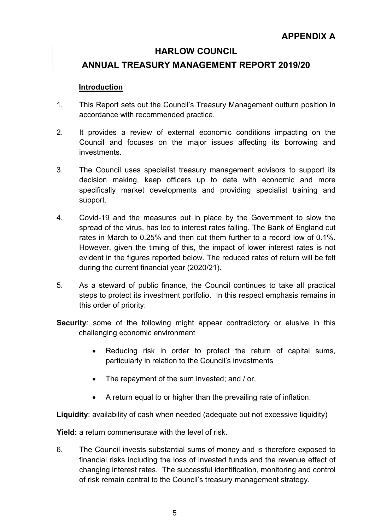# **HARLOW COUNCIL**

# **ANNUAL TREASURY MANAGEMENT REPORT 2019/20**

# **Introduction**

- 1. This Report sets out the Council's Treasury Management outturn position in accordance with recommended practice.
- 2. It provides a review of external economic conditions impacting on the Council and focuses on the major issues affecting its borrowing and investments.
- 3. The Council uses specialist treasury management advisors to support its decision making, keep officers up to date with economic and more specifically market developments and providing specialist training and support.
- 4. Covid-19 and the measures put in place by the Government to slow the spread of the virus, has led to interest rates falling. The Bank of England cut rates in March to 0.25% and then cut them further to a record low of 0.1%. However, given the timing of this, the impact of lower interest rates is not evident in the figures reported below. The reduced rates of return will be felt during the current financial year (2020/21).
- 5. As a steward of public finance, the Council continues to take all practical steps to protect its investment portfolio. In this respect emphasis remains in this order of priority:
- **Security:** some of the following might appear contradictory or elusive in this challenging economic environment
	- Reducing risk in order to protect the return of capital sums, particularly in relation to the Council's investments
	- The repayment of the sum invested; and / or,
	- A return equal to or higher than the prevailing rate of inflation.

**Liquidity**: availability of cash when needed (adequate but not excessive liquidity)

**Yield:** a return commensurate with the level of risk.

6. The Council invests substantial sums of money and is therefore exposed to financial risks including the loss of invested funds and the revenue effect of changing interest rates. The successful identification, monitoring and control of risk remain central to the Council's treasury management strategy.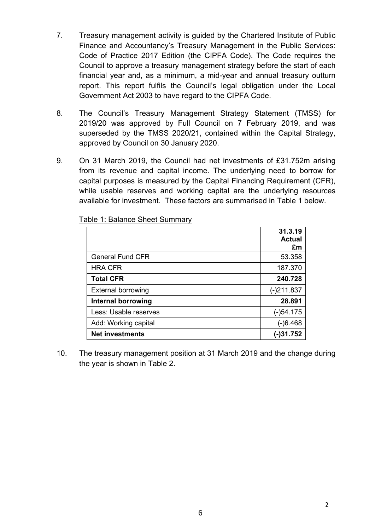- 7. Treasury management activity is guided by the Chartered Institute of Public Finance and Accountancy's Treasury Management in the Public Services: Code of Practice 2017 Edition (the CIPFA Code). The Code requires the Council to approve a treasury management strategy before the start of each financial year and, as a minimum, a mid-year and annual treasury outturn report. This report fulfils the Council's legal obligation under the Local Government Act 2003 to have regard to the CIPFA Code.
- 8. The Council's Treasury Management Strategy Statement (TMSS) for 2019/20 was approved by Full Council on 7 February 2019, and was superseded by the TMSS 2020/21, contained within the Capital Strategy, approved by Council on 30 January 2020.
- 9. On 31 March 2019, the Council had net investments of £31.752m arising from its revenue and capital income. The underlying need to borrow for capital purposes is measured by the Capital Financing Requirement (CFR), while usable reserves and working capital are the underlying resources available for investment. These factors are summarised in Table 1 below.

|                           | 31.3.19<br><b>Actual</b><br>£m |
|---------------------------|--------------------------------|
| <b>General Fund CFR</b>   | 53.358                         |
| <b>HRA CFR</b>            | 187.370                        |
| <b>Total CFR</b>          | 240.728                        |
| <b>External borrowing</b> | $(-)211.837$                   |
| Internal borrowing        | 28.891                         |
| Less: Usable reserves     | $(-)54.175$                    |
| Add: Working capital      | $(-)6.468$                     |
| <b>Net investments</b>    | $(-)31.752$                    |

Table 1: Balance Sheet Summary

10. The treasury management position at 31 March 2019 and the change during the year is shown in Table 2.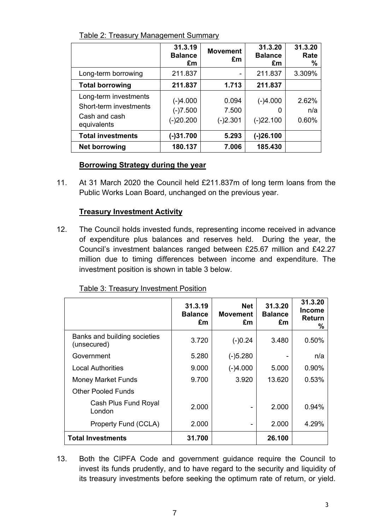|                                                                                 | 31.3.19<br><b>Balance</b><br>£m         | <b>Movement</b><br>£m        | 31.3.20<br><b>Balance</b><br>£m | 31.3.20<br>Rate<br>%  |
|---------------------------------------------------------------------------------|-----------------------------------------|------------------------------|---------------------------------|-----------------------|
| Long-term borrowing                                                             | 211.837                                 | -                            | 211.837                         | 3.309%                |
| <b>Total borrowing</b>                                                          | 211.837                                 | 1.713                        | 211.837                         |                       |
| Long-term investments<br>Short-term investments<br>Cash and cash<br>equivalents | $(-)4.000$<br>$(-)7.500$<br>$(-)20.200$ | 0.094<br>7.500<br>$(-)2.301$ | $(-)4.000$<br>0<br>$(-)22.100$  | 2.62%<br>n/a<br>0.60% |
| <b>Total investments</b>                                                        | $(-)31.700$                             | 5.293                        | $(-)26.100$                     |                       |
| Net borrowing                                                                   | 180.137                                 | 7.006                        | 185.430                         |                       |

Table 2: Treasury Management Summary

# **Borrowing Strategy during the year**

11. At 31 March 2020 the Council held £211.837m of long term loans from the Public Works Loan Board, unchanged on the previous year.

# **Treasury Investment Activity**

12. The Council holds invested funds, representing income received in advance of expenditure plus balances and reserves held. During the year, the Council's investment balances ranged between £25.67 million and £42.27 million due to timing differences between income and expenditure. The investment position is shown in table 3 below.

# Table 3: Treasury Investment Position

|                                             | 31.3.19<br><b>Balance</b><br>£m | <b>Net</b><br><b>Movement</b><br>£m | 31.3.20<br><b>Balance</b><br>£m | 31.3.20<br><b>Income</b><br>Return<br>% |
|---------------------------------------------|---------------------------------|-------------------------------------|---------------------------------|-----------------------------------------|
| Banks and building societies<br>(unsecured) | 3.720                           | $(-)0.24$                           | 3.480                           | 0.50%                                   |
| Government                                  | 5.280                           | $(-)5.280$                          |                                 | n/a                                     |
| <b>Local Authorities</b>                    | 9.000                           | $(-)4.000$                          | 5.000                           | 0.90%                                   |
| <b>Money Market Funds</b>                   | 9.700                           | 3.920                               | 13.620                          | 0.53%                                   |
| <b>Other Pooled Funds</b>                   |                                 |                                     |                                 |                                         |
| Cash Plus Fund Royal<br>London              | 2.000                           |                                     | 2.000                           | 0.94%                                   |
| Property Fund (CCLA)                        | 2.000                           |                                     | 2.000                           | 4.29%                                   |
| <b>Total Investments</b>                    | 31.700                          |                                     | 26.100                          |                                         |

13. Both the CIPFA Code and government guidance require the Council to invest its funds prudently, and to have regard to the security and liquidity of its treasury investments before seeking the optimum rate of return, or yield.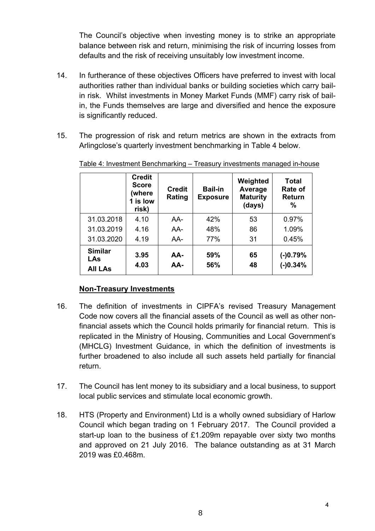The Council's objective when investing money is to strike an appropriate balance between risk and return, minimising the risk of incurring losses from defaults and the risk of receiving unsuitably low investment income.

- 14. In furtherance of these objectives Officers have preferred to invest with local authorities rather than individual banks or building societies which carry bailin risk. Whilst investments in Money Market Funds (MMF) carry risk of bailin, the Funds themselves are large and diversified and hence the exposure is significantly reduced.
- 15. The progression of risk and return metrics are shown in the extracts from Arlingclose's quarterly investment benchmarking in Table 4 below.

|                                                | <b>Credit</b><br><b>Score</b><br>(where<br>1 is low<br>risk) | <b>Credit</b><br>Rating | <b>Bail-in</b><br><b>Exposure</b> | Weighted<br>Average<br><b>Maturity</b><br>(days) | <b>Total</b><br>Rate of<br>Return<br>% |
|------------------------------------------------|--------------------------------------------------------------|-------------------------|-----------------------------------|--------------------------------------------------|----------------------------------------|
| 31.03.2018                                     | 4.10                                                         | AA-                     | 42%                               | 53                                               | 0.97%                                  |
| 31.03.2019                                     | 4.16                                                         | AA-                     | 48%                               | 86                                               | 1.09%                                  |
| 31.03.2020                                     | 4.19                                                         | AA-                     | 77%                               | 31                                               | 0.45%                                  |
| <b>Similar</b><br><b>LAs</b><br><b>All LAs</b> | 3.95<br>4.03                                                 | AA-<br>AA-              | 59%<br>56%                        | 65<br>48                                         | $(-)0.79%$<br>$(-)0.34%$               |

Table 4: Investment Benchmarking – Treasury investments managed in-house

# **Non-Treasury Investments**

- 16. The definition of investments in CIPFA's revised Treasury Management Code now covers all the financial assets of the Council as well as other nonfinancial assets which the Council holds primarily for financial return. This is replicated in the Ministry of Housing, Communities and Local Government's (MHCLG) Investment Guidance, in which the definition of investments is further broadened to also include all such assets held partially for financial return.
- 17. The Council has lent money to its subsidiary and a local business, to support local public services and stimulate local economic growth.
- 18. HTS (Property and Environment) Ltd is a wholly owned subsidiary of Harlow Council which began trading on 1 February 2017. The Council provided a start-up loan to the business of £1.209m repayable over sixty two months and approved on 21 July 2016. The balance outstanding as at 31 March 2019 was £0.468m.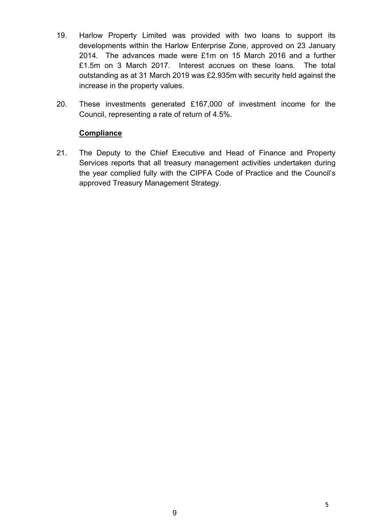- 19. Harlow Property Limited was provided with two loans to support its developments within the Harlow Enterprise Zone, approved on 23 January 2014. The advances made were £1m on 15 March 2016 and a further £1.5m on 3 March 2017. Interest accrues on these loans. The total outstanding as at 31 March 2019 was £2.935m with security held against the increase in the property values.
- 20. These investments generated £167,000 of investment income for the Council, representing a rate of return of 4.5%.

# **Compliance**

21. The Deputy to the Chief Executive and Head of Finance and Property Services reports that all treasury management activities undertaken during the year complied fully with the CIPFA Code of Practice and the Council's approved Treasury Management Strategy.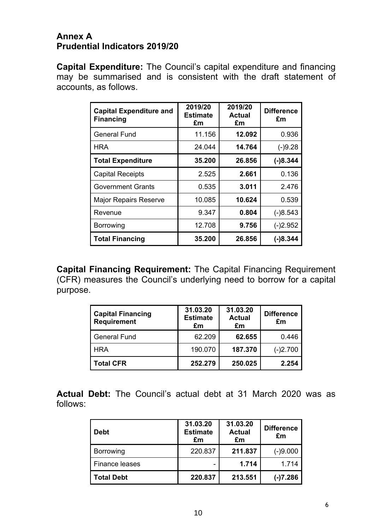# **Annex A Prudential Indicators 2019/20**

**Capital Expenditure:** The Council's capital expenditure and financing may be summarised and is consistent with the draft statement of accounts, as follows.

| <b>Capital Expenditure and</b><br><b>Financing</b> | 2019/20<br><b>Estimate</b><br>£m | 2019/20<br><b>Actual</b><br>£m | <b>Difference</b><br>£m |
|----------------------------------------------------|----------------------------------|--------------------------------|-------------------------|
| <b>General Fund</b>                                | 11.156                           | 12.092                         | 0.936                   |
| <b>HRA</b>                                         | 24.044                           | 14.764                         | $(-)9.28$               |
| <b>Total Expenditure</b>                           | 35.200                           | 26.856                         | $(-)8.344$              |
| <b>Capital Receipts</b>                            | 2.525                            | 2.661                          | 0.136                   |
| <b>Government Grants</b>                           | 0.535                            | 3.011                          | 2.476                   |
| <b>Major Repairs Reserve</b>                       | 10.085                           | 10.624                         | 0.539                   |
| Revenue                                            | 9.347                            | 0.804                          | $(-)8.543$              |
| Borrowing                                          | 12.708                           | 9.756                          | $(-)2.952$              |
| <b>Total Financing</b>                             | 35.200                           | 26.856                         | $(-)8.344$              |

**Capital Financing Requirement:** The Capital Financing Requirement (CFR) measures the Council's underlying need to borrow for a capital purpose.

| <b>Capital Financing</b><br><b>Requirement</b> | 31.03.20<br><b>Estimate</b><br>£m | 31.03.20<br><b>Actual</b><br>£m | <b>Difference</b><br>£m |
|------------------------------------------------|-----------------------------------|---------------------------------|-------------------------|
| <b>General Fund</b>                            | 62.209                            | 62.655                          | 0.446                   |
| <b>HRA</b>                                     | 190.070                           | 187.370                         | $(-)2.700$              |
| <b>Total CFR</b>                               | 252.279                           | 250.025                         | 2.254                   |

**Actual Debt:** The Council's actual debt at 31 March 2020 was as follows:

| <b>Debt</b>       | 31.03.20<br><b>Estimate</b><br>£m | 31.03.20<br><b>Actual</b><br>£m | <b>Difference</b><br>£m |
|-------------------|-----------------------------------|---------------------------------|-------------------------|
| Borrowing         | 220.837                           | 211.837                         | $(-)9.000$              |
| Finance leases    |                                   | 1.714                           | 1.714                   |
| <b>Total Debt</b> | 220.837                           | 213.551                         | $(-)7.286$              |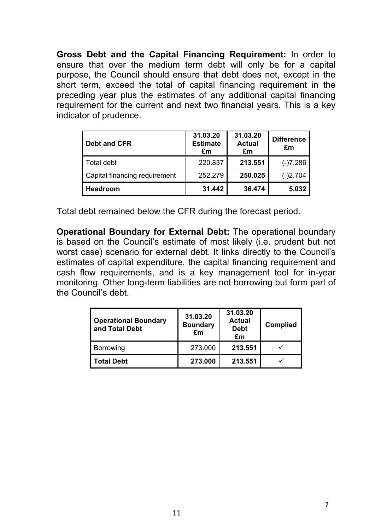**Gross Debt and the Capital Financing Requirement:** In order to ensure that over the medium term debt will only be for a capital purpose, the Council should ensure that debt does not, except in the short term, exceed the total of capital financing requirement in the preceding year plus the estimates of any additional capital financing requirement for the current and next two financial years. This is a key indicator of prudence.

| <b>Debt and CFR</b>           | 31.03.20<br><b>Estimate</b><br>£m | 31.03.20<br><b>Actual</b><br>£m | <b>Difference</b><br>£m |
|-------------------------------|-----------------------------------|---------------------------------|-------------------------|
| Total debt                    | 220.837                           | 213.551                         | $(-)7.286$              |
| Capital financing requirement | 252.279                           | 250.025                         | $(-)2.704$              |
| Headroom                      | 31.442                            | 36,474                          | 5.032                   |

Total debt remained below the CFR during the forecast period.

**Operational Boundary for External Debt:** The operational boundary is based on the Council's estimate of most likely (i.e. prudent but not worst case) scenario for external debt. It links directly to the Council's estimates of capital expenditure, the capital financing requirement and cash flow requirements, and is a key management tool for in-year monitoring. Other long-term liabilities are not borrowing but form part of the Council's debt.

| <b>Operational Boundary</b><br>and Total Debt | 31.03.20<br><b>Boundary</b><br>£m | 31.03.20<br><b>Actual</b><br><b>Debt</b><br>£m | <b>Complied</b> |
|-----------------------------------------------|-----------------------------------|------------------------------------------------|-----------------|
| Borrowing                                     | 273.000                           | 213.551                                        |                 |
| <b>Total Debt</b>                             | 273.000                           | 213.551                                        |                 |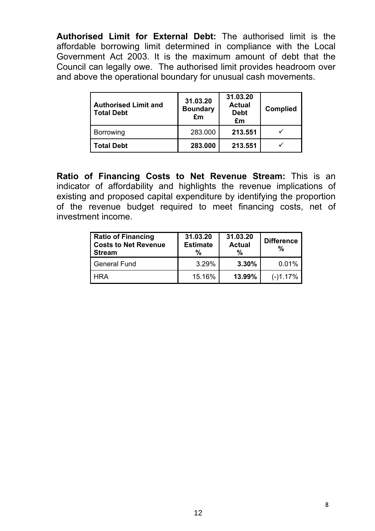**Authorised Limit for External Debt:** The authorised limit is the affordable borrowing limit determined in compliance with the Local Government Act 2003. It is the maximum amount of debt that the Council can legally owe. The authorised limit provides headroom over and above the operational boundary for unusual cash movements.

| <b>Authorised Limit and</b><br><b>Total Debt</b> | 31.03.20<br><b>Boundary</b><br>£m | 31.03.20<br><b>Actual</b><br><b>Debt</b><br>£m | <b>Complied</b> |
|--------------------------------------------------|-----------------------------------|------------------------------------------------|-----------------|
| <b>Borrowing</b>                                 | 283.000                           | 213.551                                        |                 |
| <b>Total Debt</b>                                | 283.000                           | 213.551                                        |                 |

**Ratio of Financing Costs to Net Revenue Stream:** This is an indicator of affordability and highlights the revenue implications of existing and proposed capital expenditure by identifying the proportion of the revenue budget required to meet financing costs, net of investment income.

| <b>Ratio of Financing</b><br><b>Costs to Net Revenue</b><br>Stream | 31.03.20<br><b>Estimate</b><br>% | 31.03.20<br><b>Actual</b><br>$\%$ | <b>Difference</b><br>℅ |
|--------------------------------------------------------------------|----------------------------------|-----------------------------------|------------------------|
| General Fund                                                       | 3.29%                            | 3.30%                             | 0.01%                  |
| HRA                                                                | 15.16%                           | 13.99%                            | $(-)1.17%$             |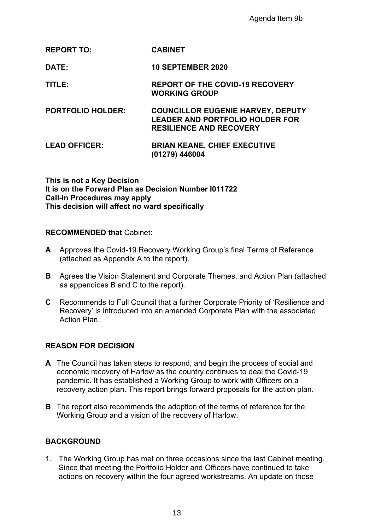# **REPORT TO: CABINET**

**DATE: 10 SEPTEMBER 2020**

**TITLE: REPORT OF THE COVID-19 RECOVERY WORKING GROUP**

**PORTFOLIO HOLDER: COUNCILLOR EUGENIE HARVEY, DEPUTY LEADER AND PORTFOLIO HOLDER FOR RESILIENCE AND RECOVERY**

### **LEAD OFFICER: BRIAN KEANE, CHIEF EXECUTIVE (01279) 446004**

**This is not a Key Decision It is on the Forward Plan as Decision Number I011722 Call-In Procedures may apply This decision will affect no ward specifically**

# **RECOMMENDED that** Cabinet**:**

- **A** Approves the Covid-19 Recovery Working Group's final Terms of Reference (attached as Appendix A to the report).
- **B** Agrees the Vision Statement and Corporate Themes, and Action Plan (attached as appendices B and C to the report).
- **C** Recommends to Full Council that a further Corporate Priority of 'Resilience and Recovery' is introduced into an amended Corporate Plan with the associated Action Plan.

# **REASON FOR DECISION**

- **A** The Council has taken steps to respond, and begin the process of social and economic recovery of Harlow as the country continues to deal the Covid-19 pandemic. It has established a Working Group to work with Officers on a recovery action plan. This report brings forward proposals for the action plan. Agenda Item 9b<br>
PTEMBER 2020<br>
RT OF THE COVID-19 RECOVERY<br>
SING GROUP<br>
CILLOR EUGENIE HARVEY, DEPUT<br>
ER AND PORTFOLIO HOLDER FOR<br>
IENCE AND RECOVERY<br>
IN KEANE, CHIEF EXECUTIVE<br>
9) 446004<br>
1 NEANE, CHIEF EXECUTIVE<br>
9) 44600
- **B** The report also recommends the adoption of the terms of reference for the Working Group and a vision of the recovery of Harlow.

# **BACKGROUND**

1. The Working Group has met on three occasions since the last Cabinet meeting. Since that meeting the Portfolio Holder and Officers have continued to take actions on recovery within the four agreed workstreams. An update on those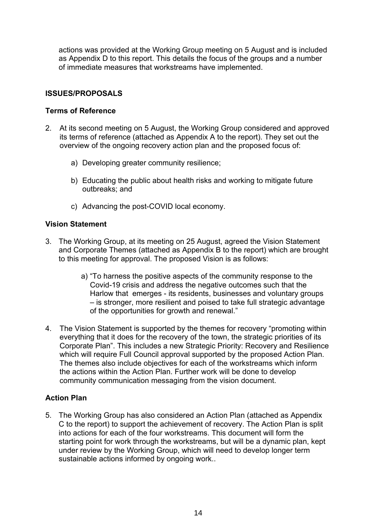actions was provided at the Working Group meeting on 5 August and is included as Appendix D to this report. This details the focus of the groups and a number of immediate measures that workstreams have implemented.

# **ISSUES/PROPOSALS**

# **Terms of Reference**

- 2. At its second meeting on 5 August, the Working Group considered and approved its terms of reference (attached as Appendix A to the report). They set out the overview of the ongoing recovery action plan and the proposed focus of:
	- a) Developing greater community resilience;
	- b) Educating the public about health risks and working to mitigate future outbreaks; and
	- c) Advancing the post-COVID local economy.

# **Vision Statement**

- 3. The Working Group, at its meeting on 25 August, agreed the Vision Statement and Corporate Themes (attached as Appendix B to the report) which are brought to this meeting for approval. The proposed Vision is as follows:
	- a) "To harness the positive aspects of the community response to the Covid-19 crisis and address the negative outcomes such that the Harlow that emerges - its residents, businesses and voluntary groups – is stronger, more resilient and poised to take full strategic advantage of the opportunities for growth and renewal."
- 4. The Vision Statement is supported by the themes for recovery "promoting within everything that it does for the recovery of the town, the strategic priorities of its Corporate Plan". This includes a new Strategic Priority: Recovery and Resilience which will require Full Council approval supported by the proposed Action Plan. The themes also include objectives for each of the workstreams which inform the actions within the Action Plan. Further work will be done to develop community communication messaging from the vision document.

# **Action Plan**

5. The Working Group has also considered an Action Plan (attached as Appendix C to the report) to support the achievement of recovery. The Action Plan is split into actions for each of the four workstreams. This document will form the starting point for work through the workstreams, but will be a dynamic plan, kept under review by the Working Group, which will need to develop longer term sustainable actions informed by ongoing work..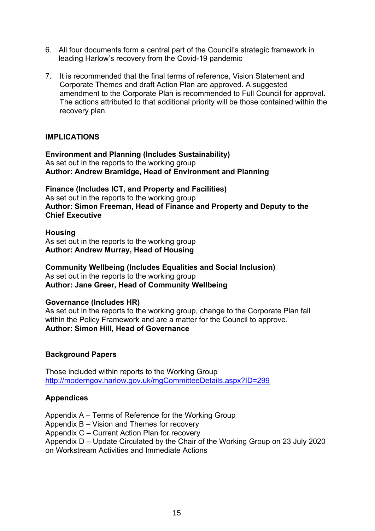- 6. All four documents form a central part of the Council's strategic framework in leading Harlow's recovery from the Covid-19 pandemic
- 7. It is recommended that the final terms of reference, Vision Statement and Corporate Themes and draft Action Plan are approved. A suggested amendment to the Corporate Plan is recommended to Full Council for approval. The actions attributed to that additional priority will be those contained within the recovery plan.

# **IMPLICATIONS**

**Environment and Planning (Includes Sustainability)** As set out in the reports to the working group **Author: Andrew Bramidge, Head of Environment and Planning**

**Finance (Includes ICT, and Property and Facilities)** As set out in the reports to the working group **Author: Simon Freeman, Head of Finance and Property and Deputy to the Chief Executive**

**Housing** As set out in the reports to the working group **Author: Andrew Murray, Head of Housing**

**Community Wellbeing (Includes Equalities and Social Inclusion)** As set out in the reports to the working group **Author: Jane Greer, Head of Community Wellbeing**

# **Governance (Includes HR)**

As set out in the reports to the working group, change to the Corporate Plan fall within the Policy Framework and are a matter for the Council to approve. **Author: Simon Hill, Head of Governance**

# **Background Papers**

Those included within reports to the Working Group <http://moderngov.harlow.gov.uk/mgCommitteeDetails.aspx?ID=299>

# **Appendices**

Appendix A – Terms of Reference for the Working Group

Appendix B – Vision and Themes for recovery

Appendix C – Current Action Plan for recovery

Appendix D – Update Circulated by the Chair of the Working Group on 23 July 2020 on Workstream Activities and Immediate Actions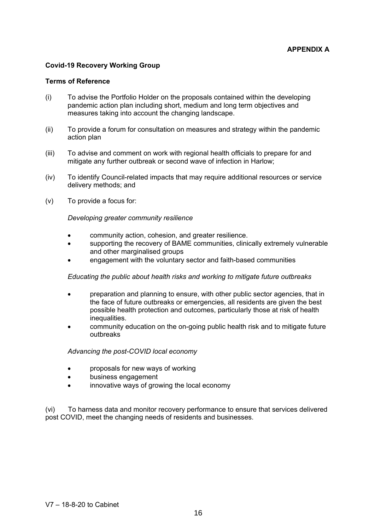### **Covid-19 Recovery Working Group**

### **Terms of Reference**

- (i) To advise the Portfolio Holder on the proposals contained within the developing pandemic action plan including short, medium and long term objectives and measures taking into account the changing landscape.
- (ii) To provide a forum for consultation on measures and strategy within the pandemic action plan
- (iii) To advise and comment on work with regional health officials to prepare for and mitigate any further outbreak or second wave of infection in Harlow;
- (iv) To identify Council-related impacts that may require additional resources or service delivery methods; and
- (v) To provide a focus for:

### *Developing greater community resilience*

- community action, cohesion, and greater resilience.
- supporting the recovery of BAME communities, clinically extremely vulnerable and other marginalised groups
- engagement with the voluntary sector and faith-based communities

### *Educating the public about health risks and working to mitigate future outbreaks*

- preparation and planning to ensure, with other public sector agencies, that in the face of future outbreaks or emergencies, all residents are given the best possible health protection and outcomes, particularly those at risk of health inequalities.
- community education on the on-going public health risk and to mitigate future outbreaks

### *Advancing the post-COVID local economy*

- proposals for new ways of working
- business engagement
- innovative ways of growing the local economy

(vi) To harness data and monitor recovery performance to ensure that services delivered post COVID, meet the changing needs of residents and businesses.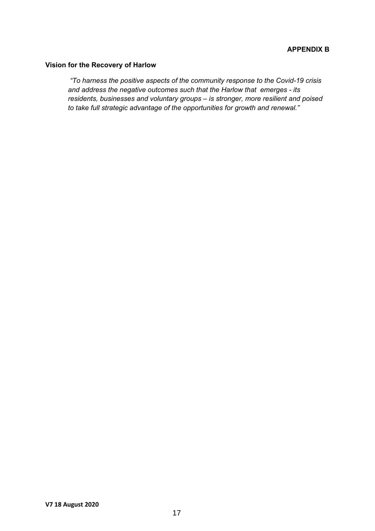### **Vision for the Recovery of Harlow**

*"To harness the positive aspects of the community response to the Covid-19 crisis and address the negative outcomes such that the Harlow that emerges - its residents, businesses and voluntary groups – is stronger, more resilient and poised to take full strategic advantage of the opportunities for growth and renewal."*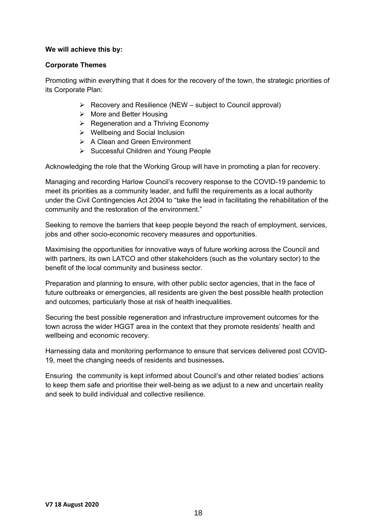## **We will achieve this by:**

## **Corporate Themes**

Promoting within everything that it does for the recovery of the town, the strategic priorities of its Corporate Plan:

- $\triangleright$  Recovery and Resilience (NEW subject to Council approval)
- $\triangleright$  More and Better Housing
- $\triangleright$  Regeneration and a Thriving Economy
- Wellbeing and Social Inclusion
- **▶ A Clean and Green Environment**
- $\triangleright$  Successful Children and Young People

Acknowledging the role that the Working Group will have in promoting a plan for recovery.

Managing and recording Harlow Council's recovery response to the COVID-19 pandemic to meet its priorities as a community leader, and fulfil the requirements as a local authority under the Civil Contingencies Act 2004 to "take the lead in facilitating the rehabilitation of the community and the restoration of the environment."

Seeking to remove the barriers that keep people beyond the reach of employment, services, jobs and other socio-economic recovery measures and opportunities.

Maximising the opportunities for innovative ways of future working across the Council and with partners, its own LATCO and other stakeholders (such as the voluntary sector) to the benefit of the local community and business sector.

Preparation and planning to ensure, with other public sector agencies, that in the face of future outbreaks or emergencies, all residents are given the best possible health protection and outcomes, particularly those at risk of health inequalities.

Securing the best possible regeneration and infrastructure improvement outcomes for the town across the wider HGGT area in the context that they promote residents' health and wellbeing and economic recovery.

Harnessing data and monitoring performance to ensure that services delivered post COVID-19, meet the changing needs of residents and businesses**.**

Ensuring the community is kept informed about Council's and other related bodies' actions to keep them safe and prioritise their well-being as we adjust to a new and uncertain reality and seek to build individual and collective resilience.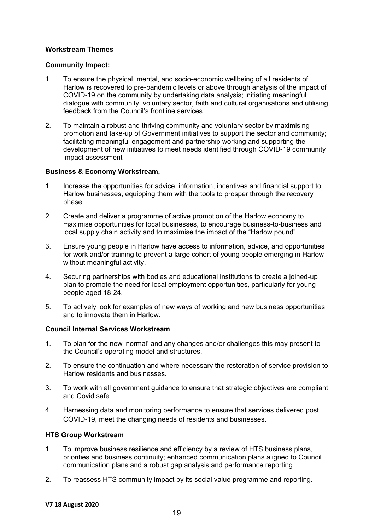### **Workstream Themes**

### **Community Impact:**

- 1. To ensure the physical, mental, and socio-economic wellbeing of all residents of Harlow is recovered to pre-pandemic levels or above through analysis of the impact of COVID-19 on the community by undertaking data analysis; initiating meaningful dialogue with community, voluntary sector, faith and cultural organisations and utilising feedback from the Council's frontline services.
- 2. To maintain a robust and thriving community and voluntary sector by maximising promotion and take-up of Government initiatives to support the sector and community; facilitating meaningful engagement and partnership working and supporting the development of new initiatives to meet needs identified through COVID-19 community impact assessment

### **Business & Economy Workstream,**

- 1. Increase the opportunities for advice, information, incentives and financial support to Harlow businesses, equipping them with the tools to prosper through the recovery phase.
- 2. Create and deliver a programme of active promotion of the Harlow economy to maximise opportunities for local businesses, to encourage business-to-business and local supply chain activity and to maximise the impact of the "Harlow pound"
- 3. Ensure young people in Harlow have access to information, advice, and opportunities for work and/or training to prevent a large cohort of young people emerging in Harlow without meaningful activity.
- 4. Securing partnerships with bodies and educational institutions to create a joined-up plan to promote the need for local employment opportunities, particularly for young people aged 18-24.
- 5. To actively look for examples of new ways of working and new business opportunities and to innovate them in Harlow.

### **Council Internal Services Workstream**

- 1. To plan for the new 'normal' and any changes and/or challenges this may present to the Council's operating model and structures.
- 2. To ensure the continuation and where necessary the restoration of service provision to Harlow residents and businesses.
- 3. To work with all government guidance to ensure that strategic objectives are compliant and Covid safe.
- 4. Harnessing data and monitoring performance to ensure that services delivered post COVID-19, meet the changing needs of residents and businesses**.**

### **HTS Group Workstream**

- 1. To improve business resilience and efficiency by a review of HTS business plans, priorities and business continuity; enhanced communication plans aligned to Council communication plans and a robust gap analysis and performance reporting.
- 2. To reassess HTS community impact by its social value programme and reporting.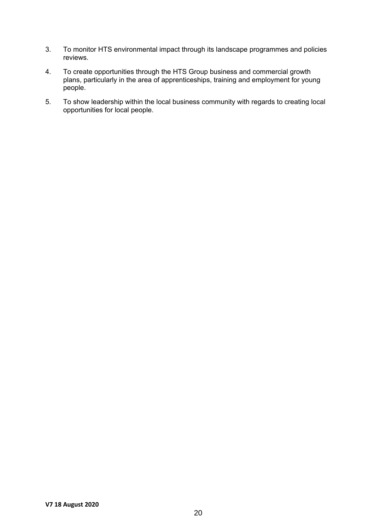- 3. To monitor HTS environmental impact through its landscape programmes and policies reviews.
- 4. To create opportunities through the HTS Group business and commercial growth plans, particularly in the area of apprenticeships, training and employment for young people.
- 5. To show leadership within the local business community with regards to creating local opportunities for local people.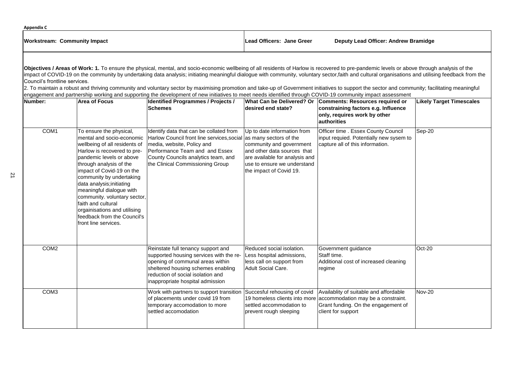# **Likely Target Timescales** em to Sep-20 Oct-20

| Number:          | <b>Area of Focus</b>                                                                                                                                                                                                                                                                                                                                                                                                                       | <b>Identified Programmes / Projects /</b><br><b>Schemes</b>                                                                                                                                                                                             | What Can be Delivered? Or<br>desired end state?                                                                                                                                     | <b>Comments: Resources required or</b><br>constraining factors e.g. Influence<br>only, requires work by other<br>authorities              |
|------------------|--------------------------------------------------------------------------------------------------------------------------------------------------------------------------------------------------------------------------------------------------------------------------------------------------------------------------------------------------------------------------------------------------------------------------------------------|---------------------------------------------------------------------------------------------------------------------------------------------------------------------------------------------------------------------------------------------------------|-------------------------------------------------------------------------------------------------------------------------------------------------------------------------------------|-------------------------------------------------------------------------------------------------------------------------------------------|
| COM1             | To ensure the physical,<br>mental and socio-economic<br>wellbeing of all residents of<br>Harlow is recovered to pre-<br>pandemic levels or above<br>through analysis of the<br>impact of Covid-19 on the<br>community by undertaking<br>data analysis; initiating<br>meaningful dialogue with<br>community. voluntary sector,<br>faith and cultural<br>orgainisations and utilising<br>feedback from the Council's<br>front line services. | Identify data that can be collated from<br>Harlow Council front line services, social as many sectors of the<br>media, website, Policy and<br>Performance Team and and Essex<br>County Councils analytics team, and<br>the Clinical Commissioning Group | Up to date information from<br>community and government<br>and other data sources that<br>are available for analysis and<br>luse to ensure we understand<br>the impact of Covid 19. | Officer time . Essex County Council<br>input requied. Potentially new sysem t<br>capture all of this information.                         |
| COM <sub>2</sub> |                                                                                                                                                                                                                                                                                                                                                                                                                                            | Reinstate full tenancy support and<br>supported housing services with the re-<br>opening of communal areas within<br>sheltered housing schemes enabling<br>reduction of social isolation and<br>inappropriate hospital admission                        | Reduced social isolation.<br>Less hospital admissions,<br>less call on support from<br>Adult Social Care.                                                                           | Government guidance<br>Staff time.<br>Additional cost of increased cleaning<br>regime                                                     |
| COM <sub>3</sub> |                                                                                                                                                                                                                                                                                                                                                                                                                                            | Work with partners to support transition<br>of placements under covid 19 from<br>temporary accomodation to more<br>settled accomodation                                                                                                                 | Succesful rehousing of covid<br>19 homeless clients into more<br>settled accommodation to<br>prevent rough sleeping                                                                 | Availablity of suitable and affordable<br>accommodation may be a constraint.<br>Grant funding. On the engagement of<br>client for support |

| <b>Appendix C</b>            |                           |                                             |
|------------------------------|---------------------------|---------------------------------------------|
| Workstream: Community Impact | Lead Officers: Jane Greer | <b>Deputy Lead Officer: Andrew Bramidge</b> |

2. To maintain a robust and thriving community and voluntary sector by maximising promotion and take-up of Government initiatives to support the sector and community; facilitating meaningful engagement and partnership working and supporting the development of new initiatives to meet needs identified through COVID-19 community impact assessment

Nov-20

**Objectives / Areas of Work: 1.** To ensure the physical, mental, and socio-economic wellbeing of all residents of Harlow is recovered to pre-pandemic levels or above through analysis of the Impact of COVID-19 on the community by undertaking data analysis; initiating meaningful dialogue with community, voluntary sector,faith and cultural organisations and utilising feedback from the Council's frontline services.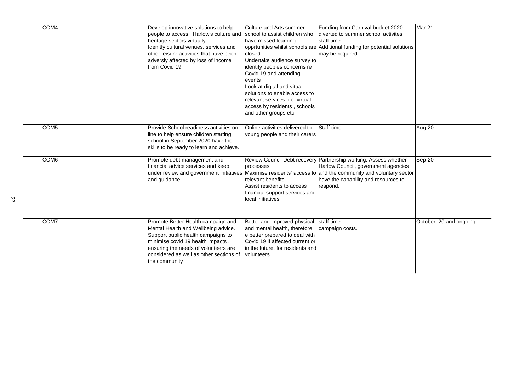| COM4             | Develop innovative solutions to help<br>people to access Harlow's culture and<br>heritage sectors virtually.<br>Idenitfy cultural venues, services and<br>other leisure activities that have been<br>adversly affected by loss of income<br>from Covid 19                                          | Culture and Arts summer<br>school to assist children who<br>have missed learning<br>closed.<br>Undertake audience survey to<br>identify peoples concerns re<br>Covid 19 and attending<br><b>levents</b><br>Look at digital and vitual<br>solutions to enable access to<br>relevant services, i.e. virtual<br>access by residents, schools<br>and other groups etc. | <b>Funding from Carnival budget 2020</b><br>diverted to summer school activites<br>staff time<br>opprtunities whilst schools are Additional funding for potential solutions<br>may be required                                                                              | Mar-21                 |
|------------------|----------------------------------------------------------------------------------------------------------------------------------------------------------------------------------------------------------------------------------------------------------------------------------------------------|--------------------------------------------------------------------------------------------------------------------------------------------------------------------------------------------------------------------------------------------------------------------------------------------------------------------------------------------------------------------|-----------------------------------------------------------------------------------------------------------------------------------------------------------------------------------------------------------------------------------------------------------------------------|------------------------|
| COM <sub>5</sub> | Provide School readiness activities on<br>line to help ensure children starting<br>school in September 2020 have the<br>skills to be ready to learn and achieve.                                                                                                                                   | Online activities delivered to<br>young people and their carers                                                                                                                                                                                                                                                                                                    | Staff time.                                                                                                                                                                                                                                                                 | Aug-20                 |
| COM <sub>6</sub> | Promote debt management and<br>financial advice services and keep<br>and guidance.                                                                                                                                                                                                                 | processes.<br>relevant benefits.<br>Assist residents to access<br>financial support services and<br>local initiatives                                                                                                                                                                                                                                              | Review Council Debt recovery Partnership working. Assess whether<br>Harlow Council, government agencies<br>under review and government initiatives Maximise residents' access to and the community and voluntary sector<br>have the capability and resources to<br>respond. | Sep-20                 |
| COM7             | Promote Better Health campaign and   Better and improved physical staff time<br>Mental Health and Wellbeing advice.<br>Support public health campaigns to<br>minimise covid 19 health impacts,<br>ensuring the needs of volunteers are<br>considered as well as other sections of<br>the community | and mental health, therefore<br>e better prepared to deal with<br>Covid 19 if affected current or<br>In the future, for residents and<br><u>Ivolunteers</u>                                                                                                                                                                                                        | campaign costs.                                                                                                                                                                                                                                                             | October 20 and ongoing |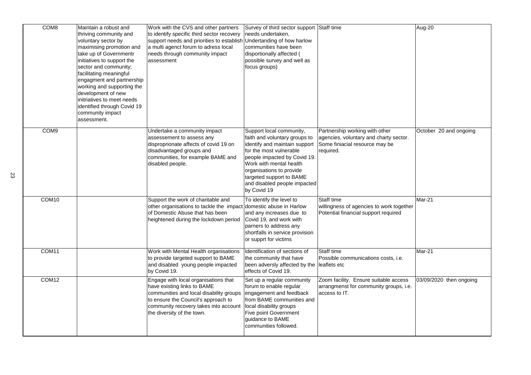| COM8              | Maintain a robust and<br>thriving community and<br>voluntary sector by<br>maximising promotion and<br>take up of Governmentr<br>initiatives to support the<br>sector and community;<br>facilitating meaningful<br>engagment and partnership<br>working and supporting the<br>development of new<br>initriatives to meet needs<br>identified through Covid 19<br>community impact<br>assessment. | Work with the CVS and other partners<br>to identify specific third sector recovery<br>support needs and priorities to establish Undertanding of how harlow<br>a multi agenct forum to adress local<br>needs through community impact<br>assessment | Survey of third sector support Staff time<br>needs undertaken,<br>communities have been<br>disportionally affected (<br>possible survey and well as<br>focus groups)                                                                                                                    |                                                                                                                         | Aug-20                  |
|-------------------|-------------------------------------------------------------------------------------------------------------------------------------------------------------------------------------------------------------------------------------------------------------------------------------------------------------------------------------------------------------------------------------------------|----------------------------------------------------------------------------------------------------------------------------------------------------------------------------------------------------------------------------------------------------|-----------------------------------------------------------------------------------------------------------------------------------------------------------------------------------------------------------------------------------------------------------------------------------------|-------------------------------------------------------------------------------------------------------------------------|-------------------------|
| COM <sub>9</sub>  |                                                                                                                                                                                                                                                                                                                                                                                                 | Undertake a community impact<br>assessement to assess any<br>disproprionate affects of covid 19 on<br>disadvantaged groups and<br>communities, for example BAME and<br>disabled people.                                                            | Support local community,<br>faith and voluntary groups to<br>identify and maintain support<br>for the most vulnerable<br>people impacted by Covid 19.<br>Work with mental health<br>organisations to provide<br>targeted support to BAME<br>and disabled people impacted<br>by Covid 19 | Partnership working with other<br>agencies, voluntary and charty sector.<br>Some finiacial resource may be<br>required. | October 20 and ongoing  |
| COM <sub>10</sub> |                                                                                                                                                                                                                                                                                                                                                                                                 | Support the work of charitable and<br>other organisations to tackle the impact domestic abuse in Harlow<br>of Domestic Abuse that has been<br>heightened during the lockdown period                                                                | To identify the level to<br>and any increases due to<br>Covid 19, and work with<br>parners to address any<br>shortfalls in service provision<br>or supprt for victims                                                                                                                   | Staff time<br>willingness of agencies to work together<br>Potential financial support required                          | Mar-21                  |
| COM11             |                                                                                                                                                                                                                                                                                                                                                                                                 | Work with Mental Health organisations<br>to provide targeted support to BAME<br>and disabled young people impacted<br>by Covid 19.                                                                                                                 | Identification of sections of<br>the community that have<br>been adversly affected by the leaflets etc<br>effects of Covid 19.                                                                                                                                                          | <b>Staff time</b><br>Possible communications costs, i.e.                                                                | Mar-21                  |
| COM <sub>12</sub> |                                                                                                                                                                                                                                                                                                                                                                                                 | Engage with local organisations that<br>have existing links to BAME<br>communities and local disability groups<br>to ensure the Council's approach to<br>community recovery takes into account<br>the diversity of the town.                       | Set up a regular community<br>forum to enable regular<br>engagement and feedback<br>from BAME communities and<br>local disability groups<br><b>Five point Government</b><br>guidance to BAME<br>communities followed.                                                                   | Zoom facility. Ensure suitable access<br>arrangmenst for community groups, i.e.<br>access to IT.                        | 03/09/2020 then ongoing |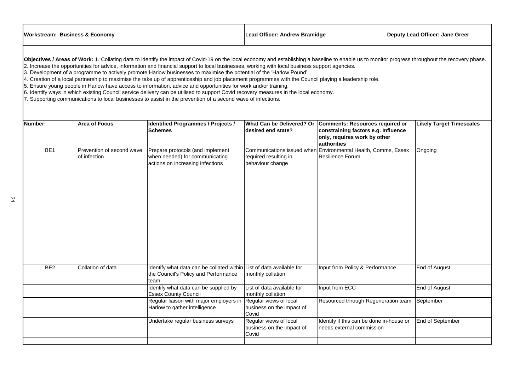| <b>Workstream: Business &amp; Economy</b> |                                           | Lead Officer: Andrew Bramidge                                                                                                                                                                                                                                                                                                                                                                                                                                                                                                                                                                                                                                                                                                                                                                                                                                                                                                                                                                                   |                                                                     | <b>Deputy Lead Officer: Jane Greer</b>                                                                                       |                                 |
|-------------------------------------------|-------------------------------------------|-----------------------------------------------------------------------------------------------------------------------------------------------------------------------------------------------------------------------------------------------------------------------------------------------------------------------------------------------------------------------------------------------------------------------------------------------------------------------------------------------------------------------------------------------------------------------------------------------------------------------------------------------------------------------------------------------------------------------------------------------------------------------------------------------------------------------------------------------------------------------------------------------------------------------------------------------------------------------------------------------------------------|---------------------------------------------------------------------|------------------------------------------------------------------------------------------------------------------------------|---------------------------------|
|                                           |                                           | Objectives / Areas of Work: 1. Collating data to identify the impact of Covid-19 on the local economy and establishing a baseline to enable us to monitor progress throughout the recovery phase.<br>2. Increase the opportunities for advice, information and financial support to local businesses, working with local business support agencies.<br>3. Development of a programme to actively promote Harlow businesses to maximise the potential of the 'Harlow Pound'.<br>4. Creation of a local partnership to maximise the take up of apprenticeship and job placement programmes with the Council playing a leadership role.<br>5. Ensure young people in Harlow have access to information, advice and opportunities for work and/or training.<br>6. Identify ways in which existing Council service delivery can be utilised to support Covid recovery measures in the local economy.<br>7. Supporting communications to local businesses to assist in the prevention of a second wave of infections. |                                                                     |                                                                                                                              |                                 |
| Number:                                   | <b>Area of Focus</b>                      | <b>Identified Programmes / Projects /</b><br><b>Schemes</b>                                                                                                                                                                                                                                                                                                                                                                                                                                                                                                                                                                                                                                                                                                                                                                                                                                                                                                                                                     | <b>What Can be Delivered? Or</b><br>desired end state?              | <b>Comments: Resources required or</b><br>constraining factors e.g. Influence<br>only, requires work by other<br>authorities | <b>Likely Target Timescales</b> |
| BE <sub>1</sub>                           | Prevention of second wave<br>of infection | Prepare protocols (and implement<br>when needed) for communicating<br>actions on increasing infections                                                                                                                                                                                                                                                                                                                                                                                                                                                                                                                                                                                                                                                                                                                                                                                                                                                                                                          | required resulting in<br>behaviour change                           | Communications issued when Environmental Health, Comms, Essex<br>Resilience Forum                                            | Ongoing                         |
| BE <sub>2</sub>                           | Collation of data                         | Identify what data can be collated within List of data available for<br>the Council's Policy and Performance<br>team                                                                                                                                                                                                                                                                                                                                                                                                                                                                                                                                                                                                                                                                                                                                                                                                                                                                                            | monthly collation                                                   | Input from Policy & Performance                                                                                              | End of August                   |
|                                           |                                           | Identify what data can be supplied by<br><b>Essex County Council</b>                                                                                                                                                                                                                                                                                                                                                                                                                                                                                                                                                                                                                                                                                                                                                                                                                                                                                                                                            | List of data available for<br>monthly collation                     | Input from ECC                                                                                                               | End of August                   |
|                                           |                                           | Regular liaison with major employers in<br>Harlow to gather intelligence                                                                                                                                                                                                                                                                                                                                                                                                                                                                                                                                                                                                                                                                                                                                                                                                                                                                                                                                        | Regular views of local<br>business on the impact of<br><b>Covid</b> | Resourced through Regeneration team                                                                                          | September                       |
|                                           |                                           | Undertake regular business surveys                                                                                                                                                                                                                                                                                                                                                                                                                                                                                                                                                                                                                                                                                                                                                                                                                                                                                                                                                                              | Regular views of local<br>business on the impact of<br>Covid        | Identify if this can be done in-house or<br>needs external commission                                                        | <b>End of September</b>         |
|                                           |                                           |                                                                                                                                                                                                                                                                                                                                                                                                                                                                                                                                                                                                                                                                                                                                                                                                                                                                                                                                                                                                                 |                                                                     |                                                                                                                              |                                 |

| <b>Workstream: Business &amp; Economy</b> | Lead Officer: Andrew Bramidge | Deputy l |
|-------------------------------------------|-------------------------------|----------|
|                                           |                               |          |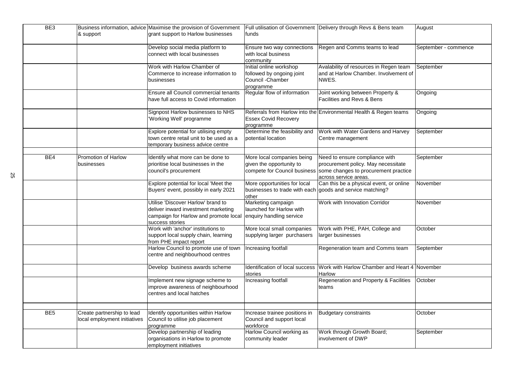| BE3             |                              | Business information, advice Maximise the provision of Government |                                                                             | Full utilisation of Government Delivery through Revs & Bens team  | August               |
|-----------------|------------------------------|-------------------------------------------------------------------|-----------------------------------------------------------------------------|-------------------------------------------------------------------|----------------------|
|                 | & support                    | grant support to Harlow businesses                                | <b>funds</b>                                                                |                                                                   |                      |
|                 |                              |                                                                   |                                                                             |                                                                   |                      |
|                 |                              | Develop social media platform to                                  | <b>Ensure two way connections</b>                                           | Regen and Comms teams to lead                                     | September - commence |
|                 |                              | connect with local businesses                                     | with local business                                                         |                                                                   |                      |
|                 |                              |                                                                   | community                                                                   |                                                                   |                      |
|                 |                              | Work with Harlow Chamber of                                       | Initial online workshop                                                     | Avalability of resources in Regen team                            | September            |
|                 |                              | Commerce to increase information to                               | followed by ongoing joint                                                   | and at Harlow Chamber. Involvement of                             |                      |
|                 |                              | <b>businesses</b>                                                 | <b>Council</b> -Chamber                                                     | NWES.                                                             |                      |
|                 |                              |                                                                   | <b>programme</b>                                                            |                                                                   |                      |
|                 |                              | Ensure all Council commercial tenants                             | Regular flow of information                                                 | Joint working between Property &                                  | Ongoing              |
|                 |                              | have full access to Covid information                             |                                                                             | <b>Facilities and Revs &amp; Bens</b>                             |                      |
|                 |                              |                                                                   |                                                                             |                                                                   |                      |
|                 |                              | Signpost Harlow businesses to NHS                                 |                                                                             | Referrals from Harlow into the Environmental Health & Regen teams | Ongoing              |
|                 |                              | 'Working Well' programme                                          | <b>Essex Covid Recovery</b>                                                 |                                                                   |                      |
|                 |                              |                                                                   | Iprogramme                                                                  |                                                                   |                      |
|                 |                              | Explore potential for utilising empty                             | Determine the feasibility and                                               | Work with Water Gardens and Harvey                                | September            |
|                 |                              | town centre retail unit to be used as a                           | potential location                                                          | Centre management                                                 |                      |
|                 |                              | temporary business advice centre                                  |                                                                             |                                                                   |                      |
|                 |                              |                                                                   |                                                                             |                                                                   |                      |
| BE4             | <b>Promotion of Harlow</b>   | Identify what more can be done to                                 | More local companies being                                                  | Need to ensure compliance with                                    | September            |
|                 | businesses                   | prioritise local businesses in the                                | given the opportunity to                                                    | procurement policy. May necessitate                               |                      |
|                 |                              | council's procurement                                             |                                                                             | compete for Council business Some changes to procurement practice |                      |
|                 |                              |                                                                   |                                                                             | across service areas.                                             |                      |
|                 |                              | Explore potential for local 'Meet the                             | More opportunities for local                                                | Can this be a physical event, or online                           | November             |
|                 |                              | Buyers' event, possibly in early 2021                             | businesses to trade with each goods and service matching?<br><b>l</b> other |                                                                   |                      |
|                 |                              | Utilise 'Discover Harlow' brand to                                | Marketing campaign                                                          | <b>Work with Innovation Corridor</b>                              | November             |
|                 |                              | deliver inward investment marketing                               | llaunched for Harlow with                                                   |                                                                   |                      |
|                 |                              | campaign for Harlow and promote local                             | enquiry handling service                                                    |                                                                   |                      |
|                 |                              | success stories                                                   |                                                                             |                                                                   |                      |
|                 |                              | Work with 'anchor' institutions to                                | More local small companies                                                  | Work with PHE, PAH, College and                                   | October              |
|                 |                              | support local supply chain, learning                              | supplying larger purchasers                                                 | larger businesses                                                 |                      |
|                 |                              | from PHE impact report                                            |                                                                             |                                                                   |                      |
|                 |                              | Harlow Council to promote use of town                             | Increasing footfall                                                         | Regeneration team and Comms team                                  | September            |
|                 |                              | centre and neighbourhood centres                                  |                                                                             |                                                                   |                      |
|                 |                              |                                                                   |                                                                             |                                                                   |                      |
|                 |                              | Develop business awards scheme                                    | Identification of local success                                             | Work with Harlow Chamber and Heart 4 November                     |                      |
|                 |                              |                                                                   | stories                                                                     | <b>Harlow</b>                                                     |                      |
|                 |                              | Implement new signage scheme to                                   | Increasing footfall                                                         | Regeneration and Property & Facilities                            | October              |
|                 |                              | improve awareness of neighbourhood                                |                                                                             | teams                                                             |                      |
|                 |                              | centres and local hatches                                         |                                                                             |                                                                   |                      |
|                 |                              |                                                                   |                                                                             |                                                                   |                      |
|                 |                              |                                                                   |                                                                             |                                                                   |                      |
| BE <sub>5</sub> | Create partnership to lead   | Identify opportunities within Harlow                              | Increase trainee positions in                                               | Budgetary constraints                                             | October              |
|                 | local employment initiatives | Council to utilise job placement                                  | Council and support local                                                   |                                                                   |                      |
|                 |                              | programme<br>Develop partnership of leading                       | workforce<br>Harlow Council working as                                      | Work through Growth Board;                                        | September            |
|                 |                              | organisations in Harlow to promote                                | community leader                                                            | involvement of DWP                                                |                      |
|                 |                              | employment initiatives                                            |                                                                             |                                                                   |                      |
|                 |                              |                                                                   |                                                                             |                                                                   |                      |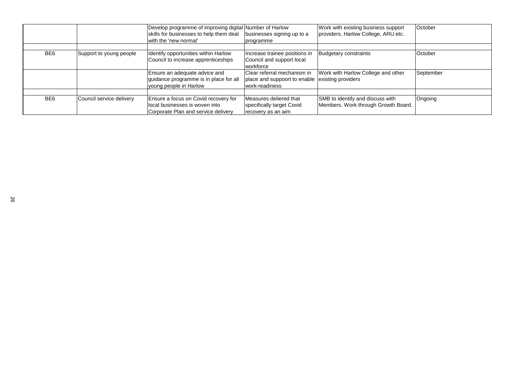|     |                          | Develop programme of improving digital Number of Harlow<br>skills for businesses to help them deal<br>with the 'new normal' | businesses signing up to a<br><i>cogramme</i>                                                    | Work with existing business support<br>providers, Harlow College, ARU etc. | <b>October</b> |
|-----|--------------------------|-----------------------------------------------------------------------------------------------------------------------------|--------------------------------------------------------------------------------------------------|----------------------------------------------------------------------------|----------------|
| BE6 | Support to young people  | Identify opportunities within Harlow<br>Council to increase apprenticeships                                                 | Increase trainee positions in<br>Council and support local<br>workforce                          | Budgetary constraints                                                      | <b>October</b> |
|     |                          | Ensure an adequate advice and<br>guidance programme is in place for al<br>young people in Harlow                            | Clear referral mechanism in<br>place and suppoort to enable existing providers<br>work-readiness | Work with Harlow College and other                                         | September      |
| BE6 | Council service delivery | Ensure a focus on Covid recovery for<br>local businesses is woven into<br>Corporate Plan and service delivery               | Measures deliered that<br>specifically target Covid<br>recovery as an aim                        | SMB to identify and discuss with<br>Members. Work through Growth Board.    | Ongoing        |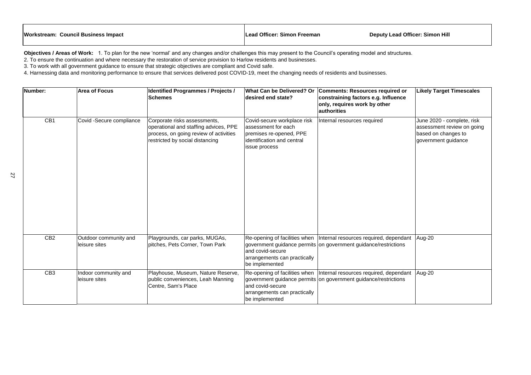| Number:         | <b>Area of Focus</b>                   | <b>Identified Programmes / Projects /</b><br><b>Schemes</b>                                                                                        | <b>What Can be Delivered? Or</b><br>desired end state?                                                                       | <b>Comments: Resources required or</b><br>constraining factors e.g. Influence<br>only, requires work by other<br><b>authorities</b>       | <b>Likely Target Timescales</b>                                                                        |
|-----------------|----------------------------------------|----------------------------------------------------------------------------------------------------------------------------------------------------|------------------------------------------------------------------------------------------------------------------------------|-------------------------------------------------------------------------------------------------------------------------------------------|--------------------------------------------------------------------------------------------------------|
| CB1             | Covid -Secure compliance               | Corporate risks assessments,<br>operational and staffing advices, PPE<br>process, on going review of activities<br>restricted by social distancing | Covid-secure workplace risk<br>assessment for each<br>premises re-opened, PPE<br>identification and central<br>issue process | Internal resources required                                                                                                               | June 2020 - complete, risk<br>assessment review on going<br>based on changes to<br>government guidance |
| CB <sub>2</sub> | Outdoor community and<br>leisure sites | Playgrounds, car parks, MUGAs,<br>pitches, Pets Corner, Town Park                                                                                  | and covid-secure<br>arrangements can practically<br>be implemented                                                           | Re-opening of facilities when   Internal resources required, dependant<br>government guidance permits on government guidance/restrictions | Aug-20                                                                                                 |
| CB <sub>3</sub> | Indoor community and<br>leisure sites  | Playhouse, Museum, Nature Reserve,<br>public conveniences, Leah Manning<br>Centre, Sam's Place                                                     | and covid-secure<br>arrangements can practically<br>be implemented                                                           | Re-opening of facilities when   Internal resources required, dependant<br>government guidance permits on government guidance/restrictions | Aug-20                                                                                                 |

| <b>Workstream: Council Business Impact</b> | Lead Officer: Simon Freeman | <b>Deputy Lead (</b> |
|--------------------------------------------|-----------------------------|----------------------|
|                                            |                             |                      |

**Objectives / Areas of Work:** 1. To plan for the new 'normal' and any changes and/or challenges this may present to the Council's operating model and structures. 2. To ensure the continuation and where necessary the restoration of service provision to Harlow residents and businesses.

3. To work with all government guidance to ensure that strategic objectives are compliant and Covid safe.

4. Harnessing data and monitoring performance to ensure that services delivered post COVID-19, meet the changing needs of residents and businesses.

# **Officer: Simon Hill**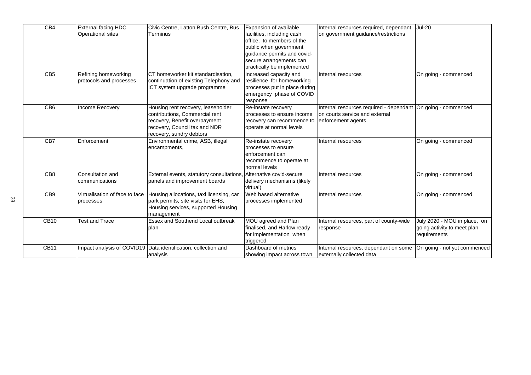| CB4             | <b>External facing HDC</b>     | Civic Centre, Latton Bush Centre, Bus                          | Expansion of available                          | Internal resources required, dependant                         | <b>Jul-20</b>                |
|-----------------|--------------------------------|----------------------------------------------------------------|-------------------------------------------------|----------------------------------------------------------------|------------------------------|
|                 | <b>Operational sites</b>       | <b>Terminus</b>                                                | facilities, including cash                      | on government guidance/restrictions                            |                              |
|                 |                                |                                                                | office, to members of the                       |                                                                |                              |
|                 |                                |                                                                | public when government                          |                                                                |                              |
|                 |                                |                                                                | guidance permits and covid-                     |                                                                |                              |
|                 |                                |                                                                | secure arrangements can                         |                                                                |                              |
|                 |                                |                                                                | practically be implemented                      |                                                                |                              |
| CB <sub>5</sub> | Refining homeworking           | CT homeworker kit standardisation,                             | Increased capacity and                          | Internal resources                                             | On going - commenced         |
|                 | protocols and processes        | continuation of existing Telephony and                         | resilience for homeworking                      |                                                                |                              |
|                 |                                | ICT system upgrade programme                                   | processes put in place during                   |                                                                |                              |
|                 |                                |                                                                | emergency phase of COVID                        |                                                                |                              |
|                 |                                |                                                                | response                                        |                                                                |                              |
| CB <sub>6</sub> | <b>Income Recovery</b>         | Housing rent recovery, leaseholder                             | Re-instate recovery                             | Internal resources required - dependant   On going - commenced |                              |
|                 |                                | contributions, Commercial rent                                 | processes to ensure income                      | on courts service and external                                 |                              |
|                 |                                | recovery, Benefit overpayment                                  | recovery can recommence to   enforcement agents |                                                                |                              |
|                 |                                | recovery, Council tax and NDR                                  | operate at normal levels                        |                                                                |                              |
|                 |                                | recovery, sundry debtors                                       |                                                 |                                                                |                              |
| CB7             | Enforcement                    | Environmental crime, ASB, illegal                              | Re-instate recovery                             | Internal resources                                             | On going - commenced         |
|                 |                                | encampments,                                                   | processes to ensure                             |                                                                |                              |
|                 |                                |                                                                | enforcement can                                 |                                                                |                              |
|                 |                                |                                                                | recommence to operate at                        |                                                                |                              |
|                 |                                |                                                                | normal levels                                   |                                                                |                              |
| CB <sub>8</sub> | Consultation and               | External events, statutory consultations,                      | Alternative covid-secure                        | Internal resources                                             | On going - commenced         |
|                 | communications                 | panels and improvement boards                                  | delivery mechanisms (likely                     |                                                                |                              |
|                 |                                |                                                                | virtual)                                        |                                                                |                              |
| CB <sub>9</sub> | Virtualisation of face to face | Housing allocations, taxi licensing, car                       | Web based alternative                           | Internal resources                                             | On going - commenced         |
|                 | processes                      | park permits, site visits for EHS,                             | processes implemented                           |                                                                |                              |
|                 |                                | Housing services, supported Housing                            |                                                 |                                                                |                              |
|                 |                                | management                                                     |                                                 |                                                                |                              |
| <b>CB10</b>     | <b>Test and Trace</b>          | <b>Essex and Southend Local outbreak</b>                       | MOU agreed and Plan                             | Internal resources, part of county-wide                        | July 2020 - MOU in place, on |
|                 |                                | plan                                                           | finalised, and Harlow ready                     | response                                                       | going activity to meet plan  |
|                 |                                |                                                                | for implementation when                         |                                                                | requirements                 |
|                 |                                |                                                                | triggered                                       |                                                                |                              |
| <b>CB11</b>     |                                | Impact analysis of COVID19 Data identification, collection and | Dashboard of metrics                            | Internal resources, dependant on some                          | On going - not yet commenced |
|                 |                                | analysis                                                       | showing impact across town                      | externally collected data                                      |                              |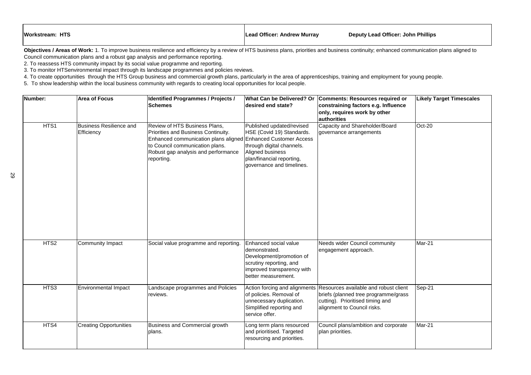| Number:          | <b>Area of Focus</b>                         | <b>Identified Programmes / Projects /</b><br><b>Schemes</b>                                                                                                                                                                   | What Can be Delivered? Or<br>desired end state?                                                                                                                          | <b>Comments: Resources required or</b><br>constraining factors e.g. Influence<br>only, requires work by other<br>authorities                                                   |
|------------------|----------------------------------------------|-------------------------------------------------------------------------------------------------------------------------------------------------------------------------------------------------------------------------------|--------------------------------------------------------------------------------------------------------------------------------------------------------------------------|--------------------------------------------------------------------------------------------------------------------------------------------------------------------------------|
| HTS1             | <b>Business Resilience and</b><br>Efficiency | Review of HTS Business Plans,<br>Priorities and Business Continuity.<br>Enhanced communication plans aligned Enhanced Customer Access<br>to Council communication plans.<br>Robust gap analysis and performance<br>reporting. | Published updated/revised<br>HSE (Covid 19) Standards.<br>through digital channels.<br><b>Aligned business</b><br>plan/financial reporting,<br>governance and timelines. | Capacity and Shareholder/Board<br>governance arrangements                                                                                                                      |
| HTS <sub>2</sub> | <b>Community Impact</b>                      | Social value programme and reporting.                                                                                                                                                                                         | Enhanced social value<br>Idemonstrated.<br>Development/promotion of<br>scrutiny reporting, and<br>improved transparency with<br>better measurement.                      | Needs wider Council community<br>engagement approach.                                                                                                                          |
| HTS3             | <b>Environmental Impact</b>                  | Landscape programmes and Policies<br>reviews.                                                                                                                                                                                 | of policies. Removal of<br>unnecessary duplication.<br>Simplified reporting and<br>service offer.                                                                        | Action forcing and alignments Resources available and robust client<br>briefs (planned tree programme/grass<br>cutting). Prioritised timing and<br>alignment to Council risks. |
| HTS4             | <b>Creating Opportunities</b>                | <b>Business and Commercial growth</b><br>plans.                                                                                                                                                                               | Long term plans resourced<br>and prioritised. Targeted<br>resourcing and priorities.                                                                                     | Council plans/ambition and corporate<br>plan priorities.                                                                                                                       |

| or<br><b>es</b> | <b>Likely Target Timescales</b> |
|-----------------|---------------------------------|
|                 | Oct-20                          |
|                 | Mar-21                          |
| ent<br>ass      | Sep-21                          |
| ate             | $Mar-21$                        |

Objectives / Areas of Work: 1. To improve business resilience and efficiency by a review of HTS business plans, priorities and business continuity; enhanced communication plans aligned to Council communication plans and a robust gap analysis and performance reporting.

2. To reassess HTS community impact by its social value programme and reporting.

3. To monitor HTSenvironmental impact through its landscape programmes and policies reviews.

4. To create opportunities through the HTS Group business and commercial growth plans, particularly in the area of apprenticeships, training and employment for young people.

5. To show leadership within the local business community with regards to creating local opportunities for local people.

| Lead Officer: Andrew Murray<br><b>Deputy Lead Officer: John Phillips</b> |
|--------------------------------------------------------------------------|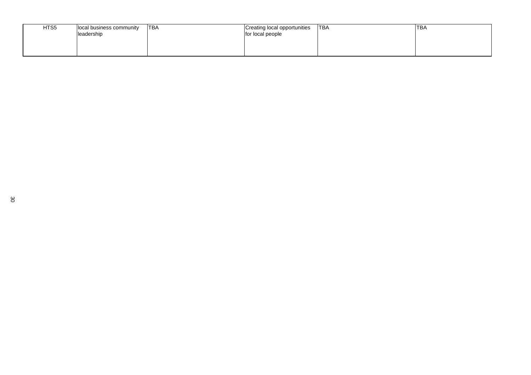| HTS5 | local business community<br>leadership | 'TBA | Creating local opportunities<br>for local people | <b>ITBA</b> | <b>TBA</b> |
|------|----------------------------------------|------|--------------------------------------------------|-------------|------------|
|      |                                        |      |                                                  |             |            |

| <b>TBA</b> |  |
|------------|--|
|            |  |
|            |  |
|            |  |
|            |  |
|            |  |
|            |  |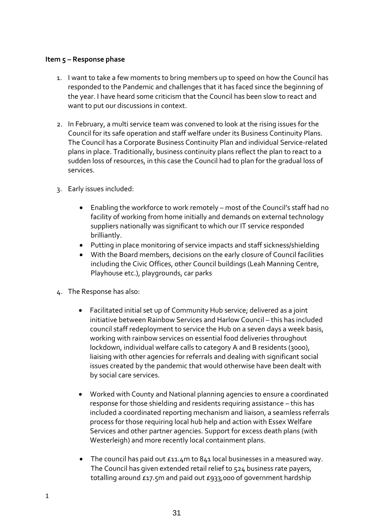# **Item 5 – Response phase**

- 1. I want to take a few moments to bring members up to speed on how the Council has responded to the Pandemic and challenges that it has faced since the beginning of the year. I have heard some criticism that the Council has been slow to react and want to put our discussions in context.
- 2. In February, a multi service team was convened to look at the rising issues for the Council for its safe operation and staff welfare under its Business Continuity Plans. The Council has a Corporate Business Continuity Plan and individual Service-related plans in place. Traditionally, business continuity plans reflect the plan to react to a sudden loss of resources, in this case the Council had to plan for the gradual loss of services.
- 3. Early issues included:
	- Enabling the workforce to work remotely most of the Council's staff had no facility of working from home initially and demands on external technology suppliers nationally was significant to which our IT service responded brilliantly.
	- Putting in place monitoring of service impacts and staff sickness/shielding
	- With the Board members, decisions on the early closure of Council facilities including the Civic Offices, other Council buildings (Leah Manning Centre, Playhouse etc.), playgrounds, car parks
- 4. The Response has also:
	- Facilitated initial set up of Community Hub service; delivered as a joint initiative between Rainbow Services and Harlow Council – this has included council staff redeployment to service the Hub on a seven days a week basis, working with rainbow services on essential food deliveries throughout lockdown, individual welfare calls to category A and B residents (3000), liaising with other agencies for referrals and dealing with significant social issues created by the pandemic that would otherwise have been dealt with by social care services.
	- Worked with County and National planning agencies to ensure a coordinated response for those shielding and residents requiring assistance – this has included a coordinated reporting mechanism and liaison, a seamless referrals process for those requiring local hub help and action with Essex Welfare Services and other partner agencies. Support for excess death plans (with Westerleigh) and more recently local containment plans.
	- The council has paid out £11.4m to 841 local businesses in a measured way. The Council has given extended retail relief to 524 business rate payers, totalling around £17.5m and paid out £933,000 of government hardship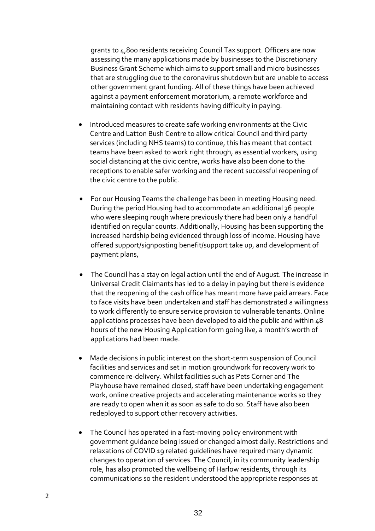grants to 4,800 residents receiving Council Tax support. Officers are now assessing the many applications made by businesses to the Discretionary Business Grant Scheme which aims to support small and micro businesses that are struggling due to the coronavirus shutdown but are unable to access other government grant funding. All of these things have been achieved against a payment enforcement moratorium, a remote workforce and maintaining contact with residents having difficulty in paying.

- Introduced measures to create safe working environments at the Civic Centre and Latton Bush Centre to allow critical Council and third party services (including NHS teams) to continue, this has meant that contact teams have been asked to work right through, as essential workers, using social distancing at the civic centre, works have also been done to the receptions to enable safer working and the recent successful reopening of the civic centre to the public.
- For our Housing Teams the challenge has been in meeting Housing need. During the period Housing had to accommodate an additional 36 people who were sleeping rough where previously there had been only a handful identified on regular counts. Additionally, Housing has been supporting the increased hardship being evidenced through loss of income. Housing have offered support/signposting benefit/support take up, and development of payment plans,
- The Council has a stay on legal action until the end of August. The increase in Universal Credit Claimants has led to a delay in paying but there is evidence that the reopening of the cash office has meant more have paid arrears. Face to face visits have been undertaken and staff has demonstrated a willingness to work differently to ensure service provision to vulnerable tenants. Online applications processes have been developed to aid the public and within 48 hours of the new Housing Application form going live, a month's worth of applications had been made.
- Made decisions in public interest on the short-term suspension of Council facilities and services and set in motion groundwork for recovery work to commence re-delivery. Whilst facilities such as Pets Corner and The Playhouse have remained closed, staff have been undertaking engagement work, online creative projects and accelerating maintenance works so they are ready to open when it as soon as safe to do so. Staff have also been redeployed to support other recovery activities.
- The Council has operated in a fast-moving policy environment with government guidance being issued or changed almost daily. Restrictions and relaxations of COVID 19 related guidelines have required many dynamic changes to operation of services. The Council, in its community leadership role, has also promoted the wellbeing of Harlow residents, through its communications so the resident understood the appropriate responses at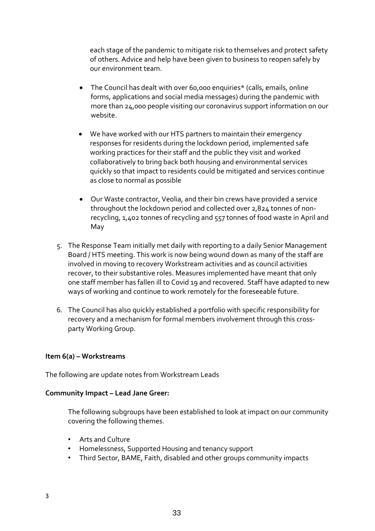each stage of the pandemic to mitigate risk to themselves and protect safety of others. Advice and help have been given to business to reopen safely by our environment team.

- The Council has dealt with over 60,000 enquiries\* (calls, emails, online forms, applications and social media messages) during the pandemic with more than 24,000 people visiting our coronavirus support information on our website.
- We have worked with our HTS partners to maintain their emergency responses for residents during the lockdown period, implemented safe working practices for their staff and the public they visit and worked collaboratively to bring back both housing and environmental services quickly so that impact to residents could be mitigated and services continue as close to normal as possible
- Our Waste contractor, Veolia, and their bin crews have provided a service throughout the lockdown period and collected over 2,824 tonnes of nonrecycling, 1,402 tonnes of recycling and 557 tonnes of food waste in April and May
- 5. The Response Team initially met daily with reporting to a daily Senior Management Board / HTS meeting. This work is now being wound down as many of the staff are involved in moving to recovery Workstream activities and as council activities recover, to their substantive roles. Measures implemented have meant that only one staff member has fallen ill to Covid 19 and recovered. Staff have adapted to new ways of working and continue to work remotely for the foreseeable future.
- 6. The Council has also quickly established a portfolio with specific responsibility for recovery and a mechanism for formal members involvement through this crossparty Working Group.

# **Item 6(a) – Workstreams**

The following are update notes from Workstream Leads

### **Community Impact – Lead Jane Greer:**

The following subgroups have been established to look at impact on our community covering the following themes.

- Arts and Culture
- Homelessness, Supported Housing and tenancy support
- Third Sector, BAME, Faith, disabled and other groups community impacts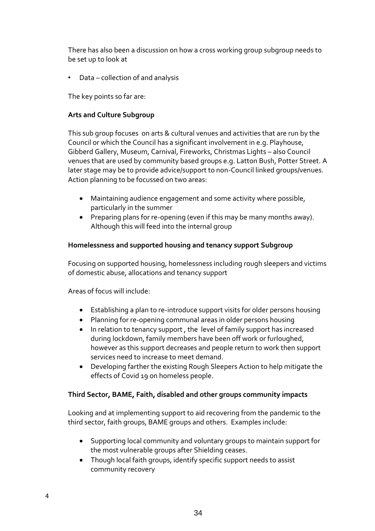There has also been a discussion on how a cross working group subgroup needs to be set up to look at

• Data – collection of and analysis

The key points so far are:

# **Arts and Culture Subgroup**

This sub group focuses on arts & cultural venues and activities that are run by the Council or which the Council has a significant involvement in e.g. Playhouse, Gibberd Gallery, Museum, Carnival, Fireworks, Christmas Lights – also Council venues that are used by community based groups e.g. Latton Bush, Potter Street. A later stage may be to provide advice/support to non-Council linked groups/venues. Action planning to be focussed on two areas:

- Maintaining audience engagement and some activity where possible, particularly in the summer
- Preparing plans for re-opening (even if this may be many months away). Although this will feed into the internal group

# **Homelessness and supported housing and tenancy support Subgroup**

Focusing on supported housing, homelessness including rough sleepers and victims of domestic abuse, allocations and tenancy support

Areas of focus will include:

- Establishing a plan to re-introduce support visits for older persons housing
- Planning for re-opening communal areas in older persons housing
- In relation to tenancy support , the level of family support has increased during lockdown, family members have been off work or furloughed, however as this support decreases and people return to work then support services need to increase to meet demand.
- Developing farther the existing Rough Sleepers Action to help mitigate the effects of Covid 19 on homeless people.

# **Third Sector, BAME, Faith, disabled and other groups community impacts**

Looking and at implementing support to aid recovering from the pandemic to the third sector, faith groups, BAME groups and others. Examples include:

- Supporting local community and voluntary groups to maintain support for the most vulnerable groups after Shielding ceases.
- Though local faith groups, identify specific support needs to assist community recovery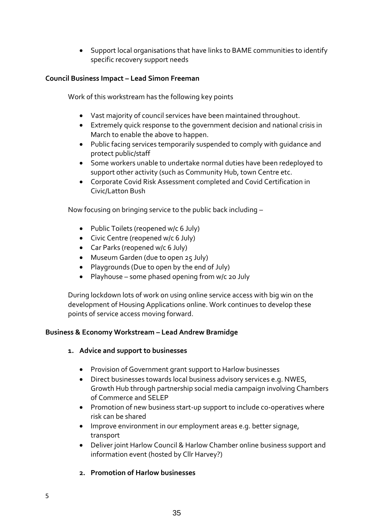• Support local organisations that have links to BAME communities to identify specific recovery support needs

# **Council Business Impact – Lead Simon Freeman**

Work of this workstream has the following key points

- Vast majority of council services have been maintained throughout.
- Extremely quick response to the government decision and national crisis in March to enable the above to happen.
- Public facing services temporarily suspended to comply with guidance and protect public/staff
- Some workers unable to undertake normal duties have been redeployed to support other activity (such as Community Hub, town Centre etc.
- Corporate Covid Risk Assessment completed and Covid Certification in Civic/Latton Bush

Now focusing on bringing service to the public back including –

- Public Toilets (reopened w/c 6 July)
- Civic Centre (reopened w/c 6 July)
- Car Parks (reopened w/c 6 July)
- Museum Garden (due to open 25 July)
- Playgrounds (Due to open by the end of July)
- Playhouse some phased opening from w/c 20 July

During lockdown lots of work on using online service access with big win on the development of Housing Applications online. Work continues to develop these points of service access moving forward.

# **Business & Economy Workstream – Lead Andrew Bramidge**

# **1. Advice and support to businesses**

- Provision of Government grant support to Harlow businesses
- Direct businesses towards local business advisory services e.g. NWES, Growth Hub through partnership social media campaign involving Chambers of Commerce and SELEP
- Promotion of new business start-up support to include co-operatives where risk can be shared
- Improve environment in our employment areas e.g. better signage, transport
- Deliver joint Harlow Council & Harlow Chamber online business support and information event (hosted by Cllr Harvey?)
- **2. Promotion of Harlow businesses**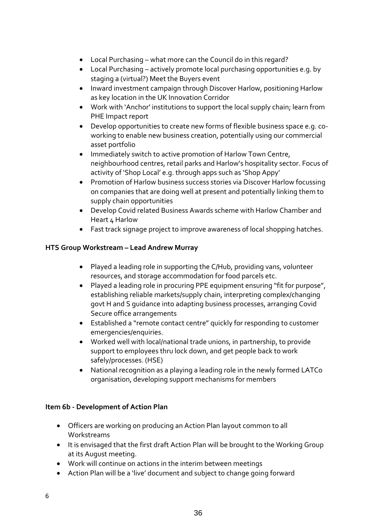- Local Purchasing what more can the Council do in this regard?
- Local Purchasing actively promote local purchasing opportunities e.g. by staging a (virtual?) Meet the Buyers event
- Inward investment campaign through Discover Harlow, positioning Harlow as key location in the UK Innovation Corridor
- Work with 'Anchor' institutions to support the local supply chain; learn from PHE Impact report
- Develop opportunities to create new forms of flexible business space e.g. coworking to enable new business creation, potentially using our commercial asset portfolio
- Immediately switch to active promotion of Harlow Town Centre, neighbourhood centres, retail parks and Harlow's hospitality sector. Focus of activity of 'Shop Local' e.g. through apps such as 'Shop Appy'
- Promotion of Harlow business success stories via Discover Harlow focussing on companies that are doing well at present and potentially linking them to supply chain opportunities
- Develop Covid related Business Awards scheme with Harlow Chamber and Heart 4 Harlow
- Fast track signage project to improve awareness of local shopping hatches.

# **HTS Group Workstream – Lead Andrew Murray**

- Played a leading role in supporting the C/Hub, providing vans, volunteer resources, and storage accommodation for food parcels etc.
- Played a leading role in procuring PPE equipment ensuring "fit for purpose", establishing reliable markets/supply chain, interpreting complex/changing govt H and S guidance into adapting business processes, arranging Covid Secure office arrangements
- Established a "remote contact centre" quickly for responding to customer emergencies/enquiries.
- Worked well with local/national trade unions, in partnership, to provide support to employees thru lock down, and get people back to work safely/processes. (HSE)
- National recognition as a playing a leading role in the newly formed LATCo organisation, developing support mechanisms for members

# **Item 6b - Development of Action Plan**

- Officers are working on producing an Action Plan layout common to all Workstreams
- It is envisaged that the first draft Action Plan will be brought to the Working Group at its August meeting.
- Work will continue on actions in the interim between meetings
- Action Plan will be a 'live' document and subject to change going forward